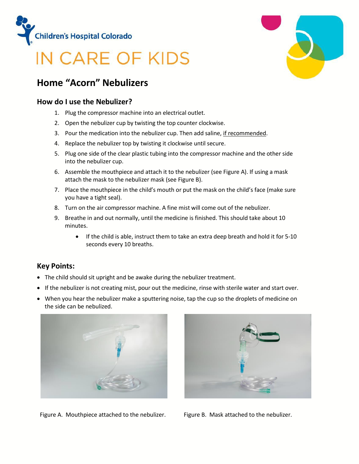

# IN CARE OF KIDS

# **Home "Acorn" Nebulizers**

#### **How do I use the Nebulizer?**

- 1. Plug the compressor machine into an electrical outlet.
- 2. Open the nebulizer cup by twisting the top counter clockwise.
- 3. Pour the medication into the nebulizer cup. Then add saline, if recommended.
- 4. Replace the nebulizer top by twisting it clockwise until secure.
- 5. Plug one side of the clear plastic tubing into the compressor machine and the other side into the nebulizer cup.
- 6. Assemble the mouthpiece and attach it to the nebulizer (see Figure A). If using a mask attach the mask to the nebulizer mask (see Figure B).
- 7. Place the mouthpiece in the child's mouth or put the mask on the child's face (make sure you have a tight seal).
- 8. Turn on the air compressor machine. A fine mist will come out of the nebulizer.
- 9. Breathe in and out normally, until the medicine is finished. This should take about 10 minutes.
	- If the child is able, instruct them to take an extra deep breath and hold it for 5-10 seconds every 10 breaths.

### **Key Points:**

- The child should sit upright and be awake during the nebulizer treatment.
- If the nebulizer is not creating mist, pour out the medicine, rinse with sterile water and start over.
- When you hear the nebulizer make a sputtering noise, tap the cup so the droplets of medicine on the side can be nebulized.





Figure A. Mouthpiece attached to the nebulizer. Figure B. Mask attached to the nebulizer.